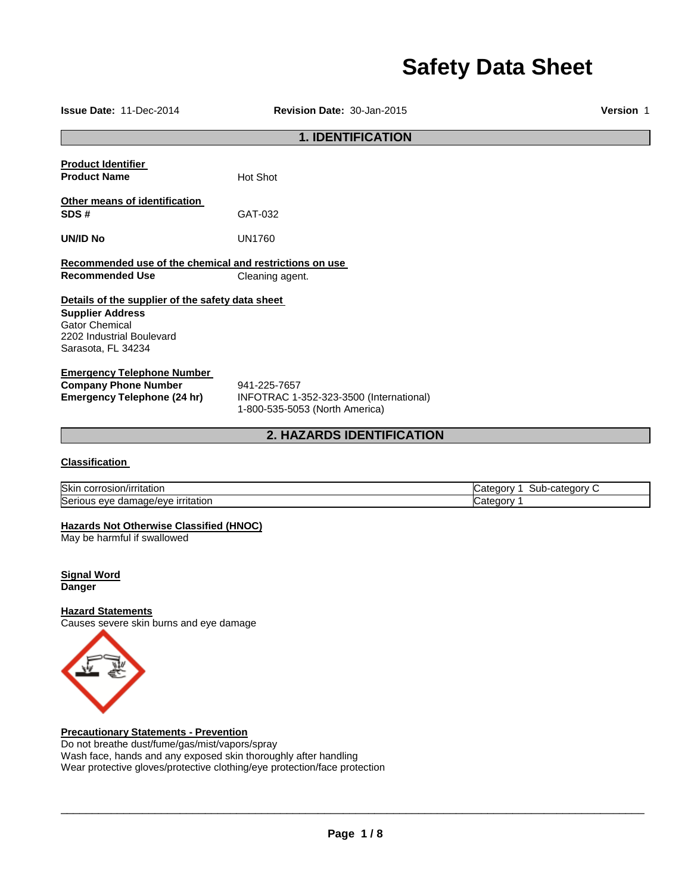# **Safety Data Sheet**

| Issue Date: 11-Dec-2014                                 | Revision Date: 30-Jan-2015              | <b>Version 1</b> |  |  |
|---------------------------------------------------------|-----------------------------------------|------------------|--|--|
|                                                         | <b>1. IDENTIFICATION</b>                |                  |  |  |
| <b>Product Identifier</b>                               |                                         |                  |  |  |
| <b>Product Name</b>                                     | Hot Shot                                |                  |  |  |
| Other means of identification                           |                                         |                  |  |  |
| SDS#                                                    | GAT-032                                 |                  |  |  |
| <b>UN/ID No</b>                                         | <b>UN1760</b>                           |                  |  |  |
| Recommended use of the chemical and restrictions on use |                                         |                  |  |  |
| <b>Recommended Use</b>                                  | Cleaning agent.                         |                  |  |  |
| Details of the supplier of the safety data sheet        |                                         |                  |  |  |
| <b>Supplier Address</b>                                 |                                         |                  |  |  |
| <b>Gator Chemical</b><br>2202 Industrial Boulevard      |                                         |                  |  |  |
| Sarasota, FL 34234                                      |                                         |                  |  |  |
| <b>Emergency Telephone Number</b>                       |                                         |                  |  |  |
| <b>Company Phone Number</b>                             | 941-225-7657                            |                  |  |  |
| <b>Emergency Telephone (24 hr)</b>                      | INFOTRAC 1-352-323-3500 (International) |                  |  |  |
|                                                         | 1-800-535-5053 (North America)          |                  |  |  |
|                                                         | 2. HAZARDS IDENTIFICATION               |                  |  |  |
|                                                         |                                         |                  |  |  |

#### **Classification**

| <b>Skir</b><br>/irritatior<br>'OSIOI<br>17 H                          | -sub<br>$\sim$<br>זנזוי<br>мπе<br>4 I F |
|-----------------------------------------------------------------------|-----------------------------------------|
| Seri.<br><u>ırrıtatıon</u><br>eve<br>eve<br>nade/<br>н.<br>udi'<br>UU | -----<br>eaor.<br>1 I F                 |

#### **Hazards Not Otherwise Classified (HNOC)**

May be harmful if swallowed

**Signal Word Danger** 

#### **Hazard Statements**

Causes severe skin burns and eye damage



**Precautionary Statements - Prevention**

Do not breathe dust/fume/gas/mist/vapors/spray Wash face, hands and any exposed skin thoroughly after handling Wear protective gloves/protective clothing/eye protection/face protection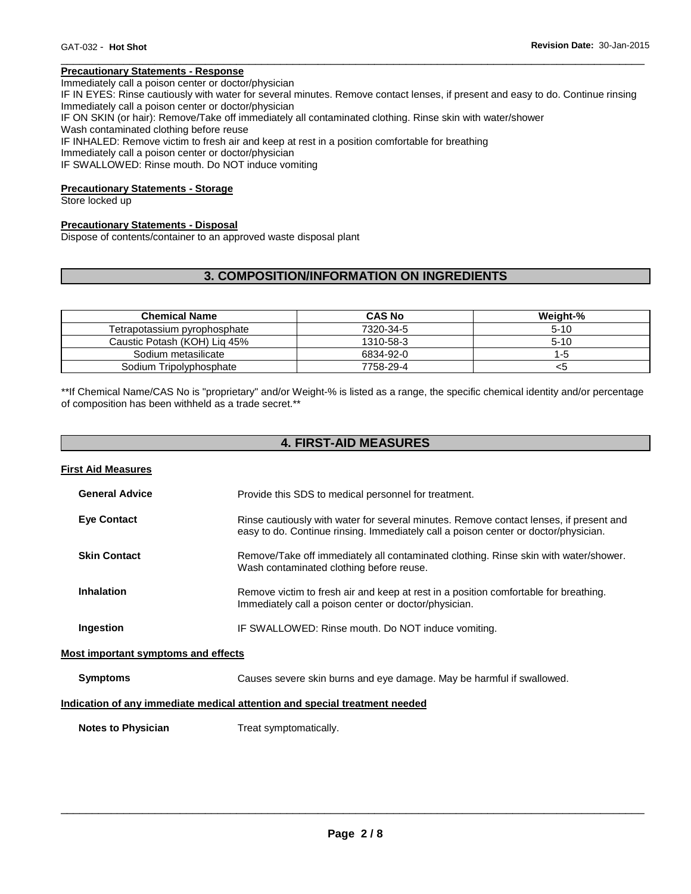#### **Precautionary Statements - Response**

Immediately call a poison center or doctor/physician

IF IN EYES: Rinse cautiously with water for several minutes. Remove contact lenses, if present and easy to do. Continue rinsing Immediately call a poison center or doctor/physician

\_\_\_\_\_\_\_\_\_\_\_\_\_\_\_\_\_\_\_\_\_\_\_\_\_\_\_\_\_\_\_\_\_\_\_\_\_\_\_\_\_\_\_\_\_\_\_\_\_\_\_\_\_\_\_\_\_\_\_\_\_\_\_\_\_\_\_\_\_\_\_\_\_\_\_\_\_\_\_\_\_\_\_\_\_\_\_\_\_\_\_\_\_

IF ON SKIN (or hair): Remove/Take off immediately all contaminated clothing. Rinse skin with water/shower

Wash contaminated clothing before reuse

IF INHALED: Remove victim to fresh air and keep at rest in a position comfortable for breathing

Immediately call a poison center or doctor/physician

IF SWALLOWED: Rinse mouth. Do NOT induce vomiting

#### **Precautionary Statements - Storage**

Store locked up

#### **Precautionary Statements - Disposal**

Dispose of contents/container to an approved waste disposal plant

#### **3. COMPOSITION/INFORMATION ON INGREDIENTS**

| <b>Chemical Name</b>         | <b>CAS No</b> | Weight-% |
|------------------------------|---------------|----------|
| Tetrapotassium pyrophosphate | 7320-34-5     | $5 - 10$ |
| Caustic Potash (KOH) Lig 45% | 1310-58-3     | $5-10$   |
| Sodium metasilicate          | 6834-92-0     | 1-5      |
| Sodium Tripolyphosphate      | 7758-29-4     | <ວ       |

\*\*If Chemical Name/CAS No is "proprietary" and/or Weight-% is listed as a range, the specific chemical identity and/or percentage of composition has been withheld as a trade secret.\*\*

| <b>4. FIRST-AID MEASURES</b>               |                                                                                                                                                                               |  |  |
|--------------------------------------------|-------------------------------------------------------------------------------------------------------------------------------------------------------------------------------|--|--|
| <b>First Aid Measures</b>                  |                                                                                                                                                                               |  |  |
| <b>General Advice</b>                      | Provide this SDS to medical personnel for treatment.                                                                                                                          |  |  |
| <b>Eye Contact</b>                         | Rinse cautiously with water for several minutes. Remove contact lenses, if present and<br>easy to do. Continue rinsing. Immediately call a poison center or doctor/physician. |  |  |
| <b>Skin Contact</b>                        | Remove/Take off immediately all contaminated clothing. Rinse skin with water/shower.<br>Wash contaminated clothing before reuse.                                              |  |  |
| <b>Inhalation</b>                          | Remove victim to fresh air and keep at rest in a position comfortable for breathing.<br>Immediately call a poison center or doctor/physician.                                 |  |  |
| Ingestion                                  | IF SWALLOWED: Rinse mouth. Do NOT induce vomiting.                                                                                                                            |  |  |
| <b>Most important symptoms and effects</b> |                                                                                                                                                                               |  |  |
| <b>Symptoms</b>                            | Causes severe skin burns and eye damage. May be harmful if swallowed.                                                                                                         |  |  |
|                                            | Indication of any immediate medical attention and special treatment needed                                                                                                    |  |  |
| <b>Notes to Physician</b>                  | Treat symptomatically.                                                                                                                                                        |  |  |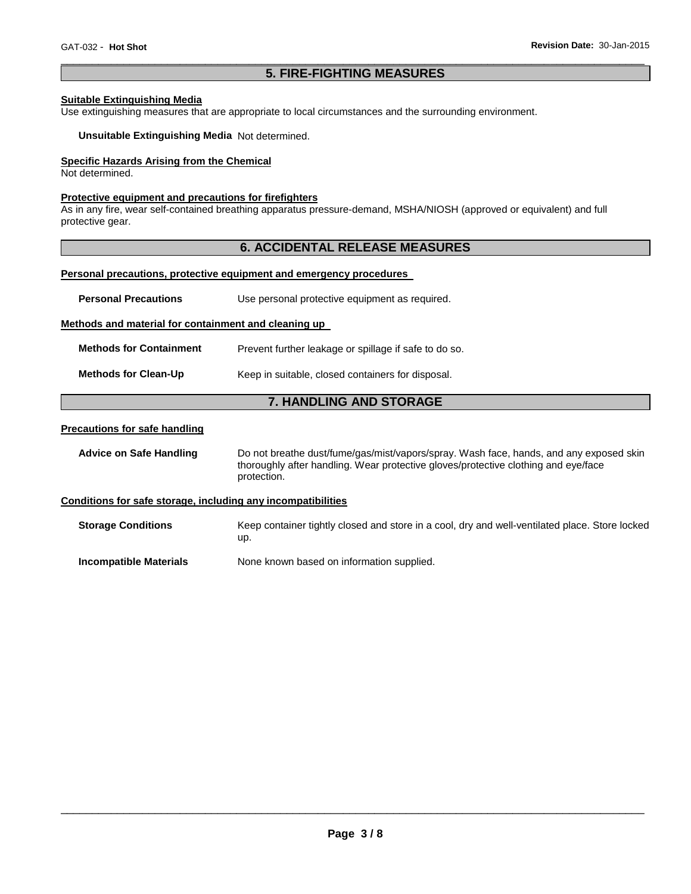#### \_\_\_\_\_\_\_\_\_\_\_\_\_\_\_\_\_\_\_\_\_\_\_\_\_\_\_\_\_\_\_\_\_\_\_\_\_\_\_\_\_\_\_\_\_\_\_\_\_\_\_\_\_\_\_\_\_\_\_\_\_\_\_\_\_\_\_\_\_\_\_\_\_\_\_\_\_\_\_\_\_\_\_\_\_\_\_\_\_\_\_\_\_ **5. FIRE-FIGHTING MEASURES**

#### **Suitable Extinguishing Media**

Use extinguishing measures that are appropriate to local circumstances and the surrounding environment.

**Unsuitable Extinguishing Media** Not determined.

#### **Specific Hazards Arising from the Chemical**

Not determined.

#### **Protective equipment and precautions for firefighters**

As in any fire, wear self-contained breathing apparatus pressure-demand, MSHA/NIOSH (approved or equivalent) and full protective gear.

#### **6. ACCIDENTAL RELEASE MEASURES**

#### **Personal precautions, protective equipment and emergency procedures**

| <b>Personal Precautions</b>                                  | Use personal protective equipment as required.                                                                                                                                              |  |  |
|--------------------------------------------------------------|---------------------------------------------------------------------------------------------------------------------------------------------------------------------------------------------|--|--|
| Methods and material for containment and cleaning up         |                                                                                                                                                                                             |  |  |
| <b>Methods for Containment</b>                               | Prevent further leakage or spillage if safe to do so.                                                                                                                                       |  |  |
| <b>Methods for Clean-Up</b>                                  | Keep in suitable, closed containers for disposal.                                                                                                                                           |  |  |
|                                                              | <b>7. HANDLING AND STORAGE</b>                                                                                                                                                              |  |  |
| <b>Precautions for safe handling</b>                         |                                                                                                                                                                                             |  |  |
| <b>Advice on Safe Handling</b>                               | Do not breathe dust/fume/gas/mist/vapors/spray. Wash face, hands, and any exposed skin<br>thoroughly after handling. Wear protective gloves/protective clothing and eye/face<br>protection. |  |  |
| Conditions for safe storage, including any incompatibilities |                                                                                                                                                                                             |  |  |
| <b>Storage Conditions</b>                                    | Keep container tightly closed and store in a cool, dry and well-ventilated place. Store locked<br>up.                                                                                       |  |  |
| <b>Incompatible Materials</b>                                | None known based on information supplied.                                                                                                                                                   |  |  |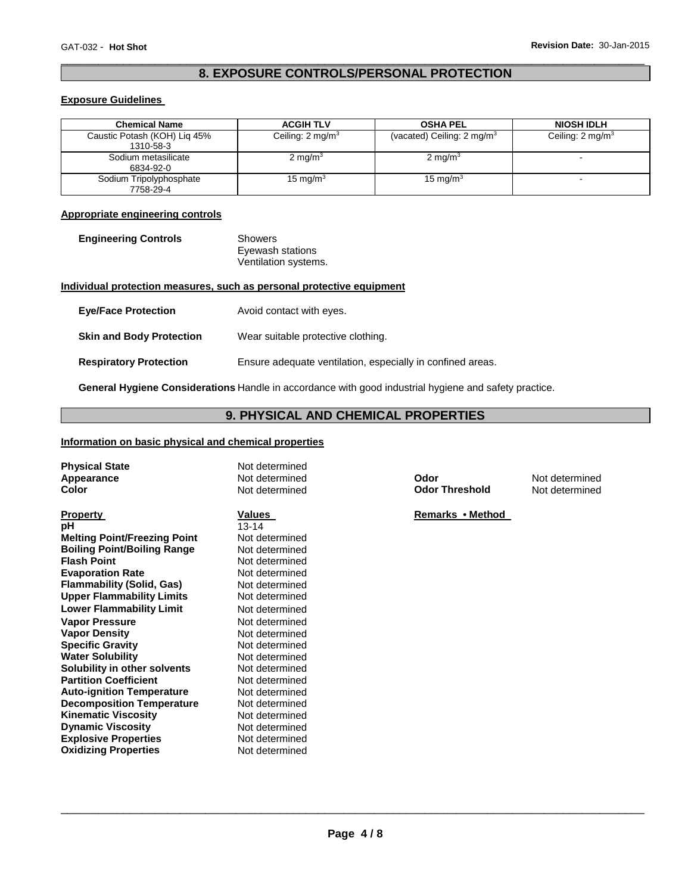#### \_\_\_\_\_\_\_\_\_\_\_\_\_\_\_\_\_\_\_\_\_\_\_\_\_\_\_\_\_\_\_\_\_\_\_\_\_\_\_\_\_\_\_\_\_\_\_\_\_\_\_\_\_\_\_\_\_\_\_\_\_\_\_\_\_\_\_\_\_\_\_\_\_\_\_\_\_\_\_\_\_\_\_\_\_\_\_\_\_\_\_\_\_ **8. EXPOSURE CONTROLS/PERSONAL PROTECTION**

#### **Exposure Guidelines**

| <b>Chemical Name</b>                      | <b>ACGIH TLV</b>            | <b>OSHA PEL</b>                       | <b>NIOSH IDLH</b>           |
|-------------------------------------------|-----------------------------|---------------------------------------|-----------------------------|
| Caustic Potash (KOH) Lig 45%<br>1310-58-3 | Ceiling: $2 \text{ mg/m}^3$ | (vacated) Ceiling: $2 \text{ mg/m}^3$ | Ceiling: $2 \text{ mg/m}^3$ |
| Sodium metasilicate<br>6834-92-0          | $2 \text{ mg/m}^3$          | 2 mg/m <sup>3</sup>                   |                             |
| Sodium Tripolyphosphate<br>7758-29-4      | 15 mg/m $3$                 | 15 mg/m $3$                           |                             |

#### **Appropriate engineering controls**

| <b>Engineering Controls</b> | Showers              |
|-----------------------------|----------------------|
|                             | Eyewash stations     |
|                             | Ventilation systems. |

#### **Individual protection measures, such as personal protective equipment**

| <b>Eve/Face Protection</b>      | Avoid contact with eyes.                                   |
|---------------------------------|------------------------------------------------------------|
| <b>Skin and Body Protection</b> | Wear suitable protective clothing.                         |
| <b>Respiratory Protection</b>   | Ensure adequate ventilation, especially in confined areas. |

**General Hygiene Considerations** Handle in accordance with good industrial hygiene and safety practice.

#### **9. PHYSICAL AND CHEMICAL PROPERTIES**

#### **Information on basic physical and chemical properties**

| <b>Physical State</b><br>Appearance | Not determined<br>Not determined | Odor                  | Not determined |
|-------------------------------------|----------------------------------|-----------------------|----------------|
| Color                               | Not determined                   | <b>Odor Threshold</b> | Not determined |
| <b>Property</b>                     | Values                           | Remarks • Method      |                |
| рH                                  | $13 - 14$                        |                       |                |
| <b>Melting Point/Freezing Point</b> | Not determined                   |                       |                |
| <b>Boiling Point/Boiling Range</b>  | Not determined                   |                       |                |
| <b>Flash Point</b>                  | Not determined                   |                       |                |
| <b>Evaporation Rate</b>             | Not determined                   |                       |                |
| <b>Flammability (Solid, Gas)</b>    | Not determined                   |                       |                |
| <b>Upper Flammability Limits</b>    | Not determined                   |                       |                |
| <b>Lower Flammability Limit</b>     | Not determined                   |                       |                |
| <b>Vapor Pressure</b>               | Not determined                   |                       |                |
| <b>Vapor Density</b>                | Not determined                   |                       |                |
| <b>Specific Gravity</b>             | Not determined                   |                       |                |
| <b>Water Solubility</b>             | Not determined                   |                       |                |
| Solubility in other solvents        | Not determined                   |                       |                |
| <b>Partition Coefficient</b>        | Not determined                   |                       |                |
| <b>Auto-ignition Temperature</b>    | Not determined                   |                       |                |
| <b>Decomposition Temperature</b>    | Not determined                   |                       |                |
| <b>Kinematic Viscosity</b>          | Not determined                   |                       |                |
| <b>Dynamic Viscosity</b>            | Not determined                   |                       |                |
| <b>Explosive Properties</b>         | Not determined                   |                       |                |
| <b>Oxidizing Properties</b>         | Not determined                   |                       |                |
|                                     |                                  |                       |                |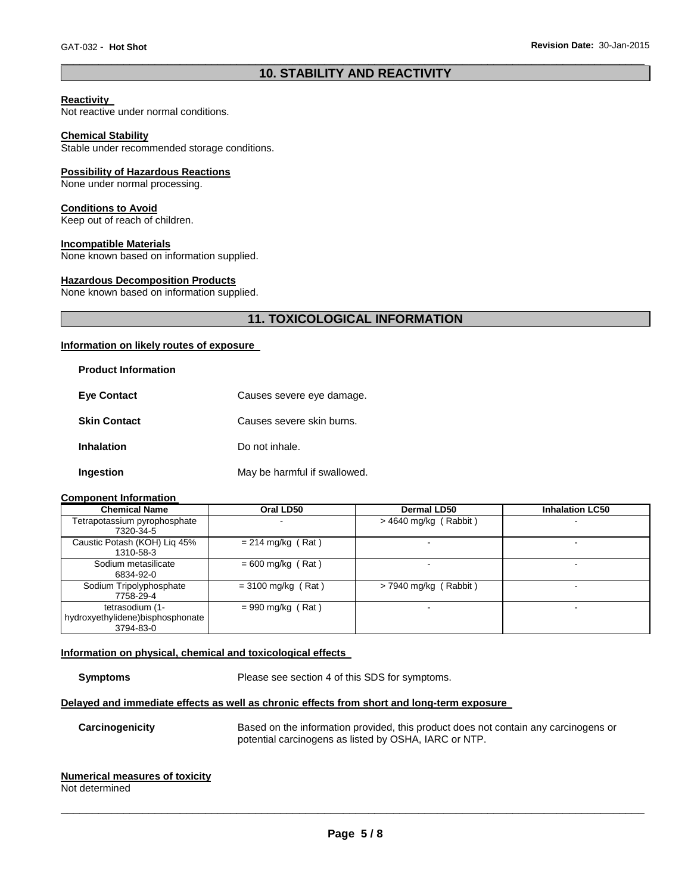#### \_\_\_\_\_\_\_\_\_\_\_\_\_\_\_\_\_\_\_\_\_\_\_\_\_\_\_\_\_\_\_\_\_\_\_\_\_\_\_\_\_\_\_\_\_\_\_\_\_\_\_\_\_\_\_\_\_\_\_\_\_\_\_\_\_\_\_\_\_\_\_\_\_\_\_\_\_\_\_\_\_\_\_\_\_\_\_\_\_\_\_\_\_ **10. STABILITY AND REACTIVITY**

#### **Reactivity**

Not reactive under normal conditions.

#### **Chemical Stability**

Stable under recommended storage conditions.

#### **Possibility of Hazardous Reactions**

None under normal processing.

#### **Conditions to Avoid**

Keep out of reach of children.

#### **Incompatible Materials**

None known based on information supplied.

#### **Hazardous Decomposition Products**

None known based on information supplied.

#### **11. TOXICOLOGICAL INFORMATION**

#### **Information on likely routes of exposure**

| <b>Product Information</b> |                              |
|----------------------------|------------------------------|
| <b>Eve Contact</b>         | Causes severe eye damage.    |
| <b>Skin Contact</b>        | Causes severe skin burns.    |
| <b>Inhalation</b>          | Do not inhale.               |
| Ingestion                  | May be harmful if swallowed. |

#### **Component Information**

| <b>Chemical Name</b>             | Oral LD50            | <b>Dermal LD50</b>      | <b>Inhalation LC50</b>   |
|----------------------------------|----------------------|-------------------------|--------------------------|
| Tetrapotassium pyrophosphate     |                      | $>$ 4640 mg/kg (Rabbit) | $\blacksquare$           |
| 7320-34-5                        |                      |                         |                          |
| Caustic Potash (KOH) Lig 45%     | $= 214$ mg/kg (Rat)  |                         | $\blacksquare$           |
| 1310-58-3                        |                      |                         |                          |
| Sodium metasilicate              | $= 600$ mg/kg (Rat)  |                         | $\overline{\phantom{0}}$ |
| 6834-92-0                        |                      |                         |                          |
| Sodium Tripolyphosphate          | $= 3100$ mg/kg (Rat) | $>$ 7940 mg/kg (Rabbit) | $\overline{\phantom{0}}$ |
| 7758-29-4                        |                      |                         |                          |
| tetrasodium (1-                  | $= 990$ mg/kg (Rat)  |                         |                          |
| hydroxyethylidene)bisphosphonate |                      |                         |                          |
| 3794-83-0                        |                      |                         |                          |

#### **Information on physical, chemical and toxicological effects**

**Symptoms** Please see section 4 of this SDS for symptoms.

#### **Delayed and immediate effects as well as chronic effects from short and long-term exposure**

**Carcinogenicity** Based on the information provided, this product does not contain any carcinogens or potential carcinogens as listed by OSHA, IARC or NTP.

## **Numerical measures of toxicity**

Not determined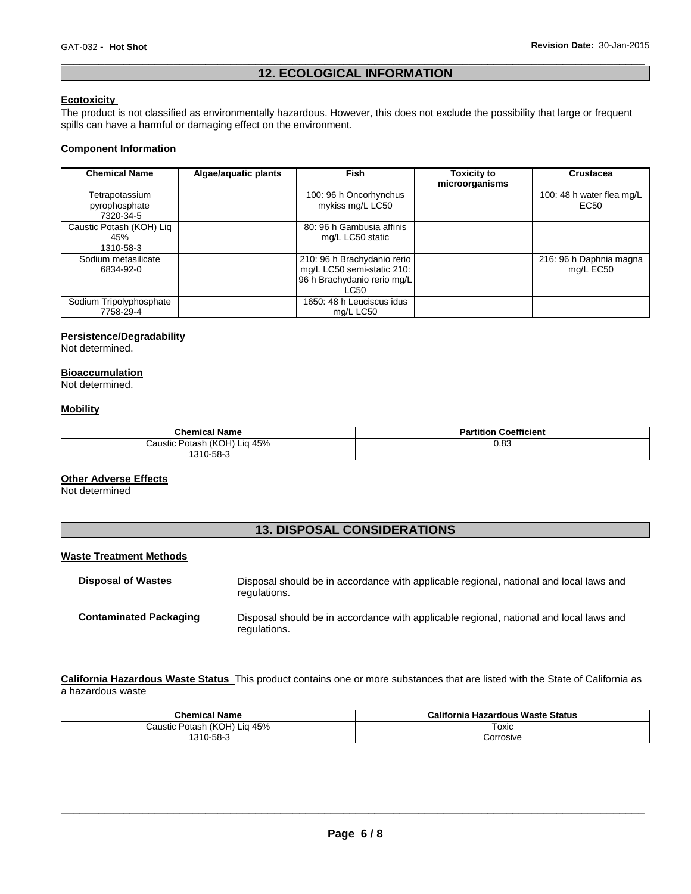#### \_\_\_\_\_\_\_\_\_\_\_\_\_\_\_\_\_\_\_\_\_\_\_\_\_\_\_\_\_\_\_\_\_\_\_\_\_\_\_\_\_\_\_\_\_\_\_\_\_\_\_\_\_\_\_\_\_\_\_\_\_\_\_\_\_\_\_\_\_\_\_\_\_\_\_\_\_\_\_\_\_\_\_\_\_\_\_\_\_\_\_\_\_ **12. ECOLOGICAL INFORMATION**

#### **Ecotoxicity**

The product is not classified as environmentally hazardous. However, this does not exclude the possibility that large or frequent spills can have a harmful or damaging effect on the environment.

#### **Component Information**

| <b>Chemical Name</b>                         | Algae/aquatic plants | Fish                                                                                             | Toxicity to<br>microorganisms | Crustacea                                     |
|----------------------------------------------|----------------------|--------------------------------------------------------------------------------------------------|-------------------------------|-----------------------------------------------|
| Tetrapotassium<br>pyrophosphate<br>7320-34-5 |                      | 100: 96 h Oncorhynchus<br>mykiss mg/L LC50                                                       |                               | 100: 48 h water flea mg/L<br>EC <sub>50</sub> |
| Caustic Potash (KOH) Liq<br>45%<br>1310-58-3 |                      | 80: 96 h Gambusia affinis<br>mg/L LC50 static                                                    |                               |                                               |
| Sodium metasilicate<br>6834-92-0             |                      | 210: 96 h Brachydanio rerio<br>mg/L LC50 semi-static 210:<br>96 h Brachydanio rerio mg/L<br>LC50 |                               | 216: 96 h Daphnia magna<br>mg/L EC50          |
| Sodium Tripolyphosphate<br>7758-29-4         |                      | 1650: 48 h Leuciscus idus<br>ma/L LC50                                                           |                               |                                               |

#### **Persistence/Degradability**

Not determined.

#### **Bioaccumulation**

Not determined.

#### **Mobility**

| <b>Chemical Name</b>                           | <b>Partition Coefficient</b> |
|------------------------------------------------|------------------------------|
| Lig 45%<br>Caustic Potash (KOH) L<br>1310-58-3 | $_{0.83}$                    |

#### **Other Adverse Effects**

Not determined

### **13. DISPOSAL CONSIDERATIONS**

#### **Waste Treatment Methods**

| <b>Disposal of Wastes</b>     | Disposal should be in accordance with applicable regional, national and local laws and<br>regulations. |
|-------------------------------|--------------------------------------------------------------------------------------------------------|
| <b>Contaminated Packaging</b> | Disposal should be in accordance with applicable regional, national and local laws and<br>regulations. |

**California Hazardous Waste Status** This product contains one or more substances that are listed with the State of California as a hazardous waste

| <b>Chemical Name</b>              | California Hazardous Waste Status |
|-----------------------------------|-----------------------------------|
| · Potash (KOH) Liq 45%<br>Caustic | Toxic                             |
| 1310-58-3                         | Corrosive                         |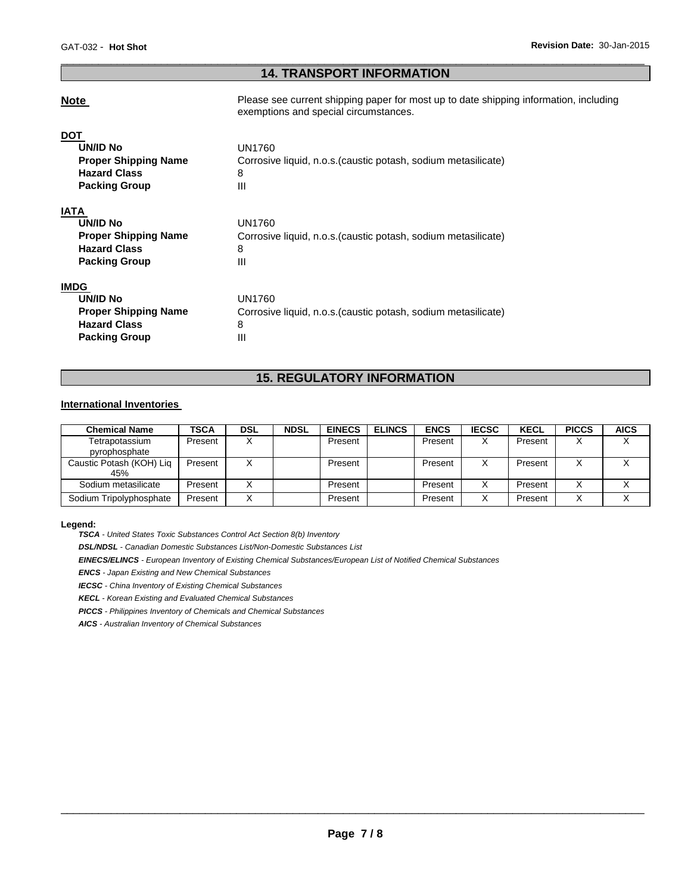#### \_\_\_\_\_\_\_\_\_\_\_\_\_\_\_\_\_\_\_\_\_\_\_\_\_\_\_\_\_\_\_\_\_\_\_\_\_\_\_\_\_\_\_\_\_\_\_\_\_\_\_\_\_\_\_\_\_\_\_\_\_\_\_\_\_\_\_\_\_\_\_\_\_\_\_\_\_\_\_\_\_\_\_\_\_\_\_\_\_\_\_\_\_ **14. TRANSPORT INFORMATION**

**Note Please see current shipping paper for most up to date shipping information, including** exemptions and special circumstances.

| <b>DOT</b>                  |                                                                |
|-----------------------------|----------------------------------------------------------------|
| <b>UN/ID No</b>             | UN1760                                                         |
| <b>Proper Shipping Name</b> | Corrosive liquid, n.o.s. (caustic potash, sodium metasilicate) |
| <b>Hazard Class</b>         | 8                                                              |
| <b>Packing Group</b>        | Ш                                                              |
| IATA                        |                                                                |
| UN/ID No                    | UN1760                                                         |
| <b>Proper Shipping Name</b> | Corrosive liquid, n.o.s. (caustic potash, sodium metasilicate) |
| <b>Hazard Class</b>         | 8                                                              |
| <b>Packing Group</b>        | Ш                                                              |
| <b>IMDG</b>                 |                                                                |
| UN/ID No                    | <b>UN1760</b>                                                  |
| <b>Proper Shipping Name</b> | Corrosive liquid, n.o.s. (caustic potash, sodium metasilicate) |
| <b>Hazard Class</b>         | 8                                                              |
| <b>Packing Group</b>        | Ш                                                              |

#### **15. REGULATORY INFORMATION**

#### **International Inventories**

| <b>Chemical Name</b>            | <b>TSCA</b> | <b>DSL</b> | <b>NDSL</b> | <b>EINECS</b> | <b>ELINCS</b> | <b>ENCS</b> | <b>IECSC</b> | <b>KECL</b> | <b>PICCS</b> | <b>AICS</b> |
|---------------------------------|-------------|------------|-------------|---------------|---------------|-------------|--------------|-------------|--------------|-------------|
| Tetrapotassium<br>pyrophosphate | Present     |            |             | Present       |               | Present     | X            | Present     | $\lambda$    |             |
|                                 |             |            |             |               |               |             |              |             |              |             |
| Caustic Potash (KOH) Lig        | Present     |            |             | Present       |               | Present     |              | Present     |              |             |
| 45%                             |             |            |             |               |               |             |              |             |              |             |
| Sodium metasilicate             | Present     |            |             | Present       |               | Present     |              | Present     | v            |             |
| Sodium Tripolyphosphate         | Present     |            |             | Present       |               | Present     |              | Present     |              |             |

#### **Legend:**

*TSCA - United States Toxic Substances Control Act Section 8(b) Inventory* 

*DSL/NDSL - Canadian Domestic Substances List/Non-Domestic Substances List* 

*EINECS/ELINCS - European Inventory of Existing Chemical Substances/European List of Notified Chemical Substances* 

*ENCS - Japan Existing and New Chemical Substances* 

*IECSC - China Inventory of Existing Chemical Substances* 

*KECL - Korean Existing and Evaluated Chemical Substances* 

*PICCS - Philippines Inventory of Chemicals and Chemical Substances* 

*AICS - Australian Inventory of Chemical Substances*